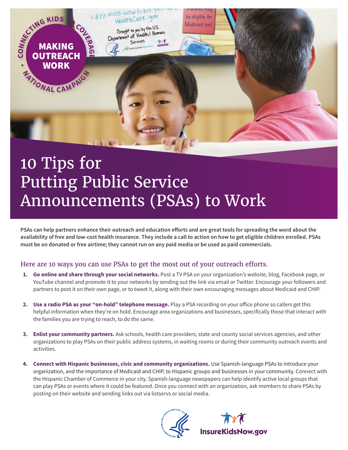

## 10 Tips for Putting Public Service Announcements (PSAs) to Work

**PSAs can help partners enhance their outreach and education efforts and are great tools for spreading the word about the availability of free and low-cost health insurance. They include a call to action on how to get eligible children enrolled. PSAs must be on donated or free airtime; they cannot run on any paid media or be used as paid commercials.**

## Here are 10 ways you can use PSAs to get the most out of your outreach efforts.

- **1. Go online and share through your social networks.** Post a TV PSA on your organization's website, blog, Facebook page, or YouTube channel and promote it to your networks by sending out the link via email or Twitter. Encourage your followers and partners to post it on their own page, or to tweet it, along with their own encouraging messages about Medicaid and CHIP.
- **2. Use a radio PSA as your "on-hold" telephone message.** Play a PSA recording on your office phone so callers get this helpful information when they're on hold. Encourage area organizations and businesses, specifically those that interact with the families you are trying to reach, to do the same.
- **3. Enlist your community partners.** Ask schools, health care providers, state and county social services agencies, and other organizations to play PSAs on their public address systems, in waiting rooms or during their community outreach events and activities.
- **4. Connect with Hispanic businesses, civic and community organizations.** Use Spanish-language PSAs to introduce your organization, and the importance of Medicaid and CHIP, to Hispanic groups and businesses in your community. Connect with the Hispanic Chamber of Commerce in your city. Spanish-language newspapers can help identify active local groups that can play PSAs or events where it could be featured. Once you connect with an organization, ask members to share PSAs by posting on their website and sending links out via listservs or social media.